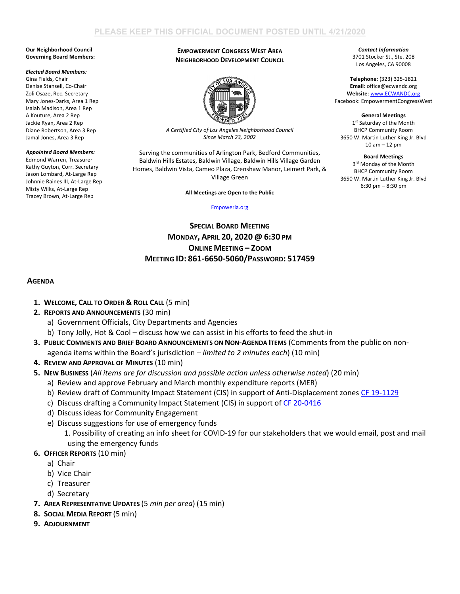#### **Our Neighborhood Council Governing Board Members:**

#### *Elected Board Members:*

Gina Fields, Chair Denise Stansell, Co-Chair Zoli Osaze, Rec. Secretary Mary Jones-Darks, Area 1 Rep Isaiah Madison, Area 1 Rep A Kouture, Area 2 Rep Jackie Ryan, Area 2 Rep Diane Robertson, Area 3 Rep Jamal Jones, Area 3 Rep

### *Appointed Board Members:*

Edmond Warren, Treasurer Kathy Guyton, Corr. Secretary Jason Lombard, At-Large Rep Johnnie Raines III, At-Large Rep Misty Wilks, At-Large Rep Tracey Brown, At-Large Rep

### **EMPOWERMENT CONGRESS WEST AREA NEIGHBORHOOD DEVELOPMENT COUNCIL**



*A Certified City of Los Angeles Neighborhood Council Since March 23, 2002*

Serving the communities of Arlington Park, Bedford Communities, Baldwin Hills Estates, Baldwin Village, Baldwin Hills Village Garden Homes, Baldwin Vista, Cameo Plaza, Crenshaw Manor, Leimert Park, & Village Green

**All Meetings are Open to the Public**

### [Empowerla.org](http://www.empowerla.org/)

# **SPECIAL BOARD MEETING MONDAY, APRIL 20, 2020 @ 6:30 PM ONLINE MEETING – ZOOM MEETING ID: 861-6650-5060/PASSWORD: 517459**

## **AGENDA**

- **1. WELCOME, CALL TO ORDER & ROLL CALL** (5 min)
- **2. REPORTS AND ANNOUNCEMENTS** (30 min)
	- a) Government Officials, City Departments and Agencies
	- b) Tony Jolly, Hot & Cool discuss how we can assist in his efforts to feed the shut-in
- **3. PUBLIC COMMENTS AND BRIEF BOARD ANNOUNCEMENTS ON NON-AGENDA ITEMS** (Comments from the public on nonagenda items within the Board's jurisdiction *– limited to 2 minutes each*) (10 min)
- **4. REVIEW AND APPROVAL OF MINUTES** (10 min)
- **5. NEW BUSINESS** (*All items are for discussion and possible action unless otherwise noted*) (20 min)
	- a) Review and approve February and March monthly expenditure reports (MER)
	- b) Review draft of Community Impact Statement (CIS) in support of Anti-Displacement zone[s CF 19-1129](https://cityclerk.lacity.org/lacityclerkconnect/index.cfm?fa=ccfi.viewrecord&cfnumber=19-1129)
	- c) Discuss drafting a Community Impact Statement (CIS) in support of [CF 20-0416](https://cityclerk.lacity.org/lacityclerkconnect/index.cfm?fa=ccfi.viewrecord&cfnumber=20-0416)
	- d) Discuss ideas for Community Engagement
	- e) Discuss suggestions for use of emergency funds
		- 1. Possibility of creating an info sheet for COVID-19 for our stakeholders that we would email, post and mail using the emergency funds

# **6. OFFICER REPORTS** (10 min)

- a) Chair
- b) Vice Chair
- c) Treasurer
- d) Secretary
- **7. AREA REPRESENTATIVE UPDATES** (5 *min per area*) (15 min)
- **8. SOCIAL MEDIA REPORT** (5 min)
- **9. ADJOURNMENT**

*Contact Information* 3701 Stocker St., Ste. 208 Los Angeles, CA 90008

**Telephone**: (323) 325-1821 **Email**: office@ecwandc.org **Website**[: www.ECWANDC.org](http://www.ecwandc.org/) Facebook: EmpowermentCongressWest

**General Meetings** 1st Saturday of the Month BHCP Community Room 3650 W. Martin Luther King Jr. Blvd 10 am – 12 pm

**Board Meetings** 3<sup>rd</sup> Monday of the Month BHCP Community Room 3650 W. Martin Luther King Jr. Blvd 6:30 pm – 8:30 pm